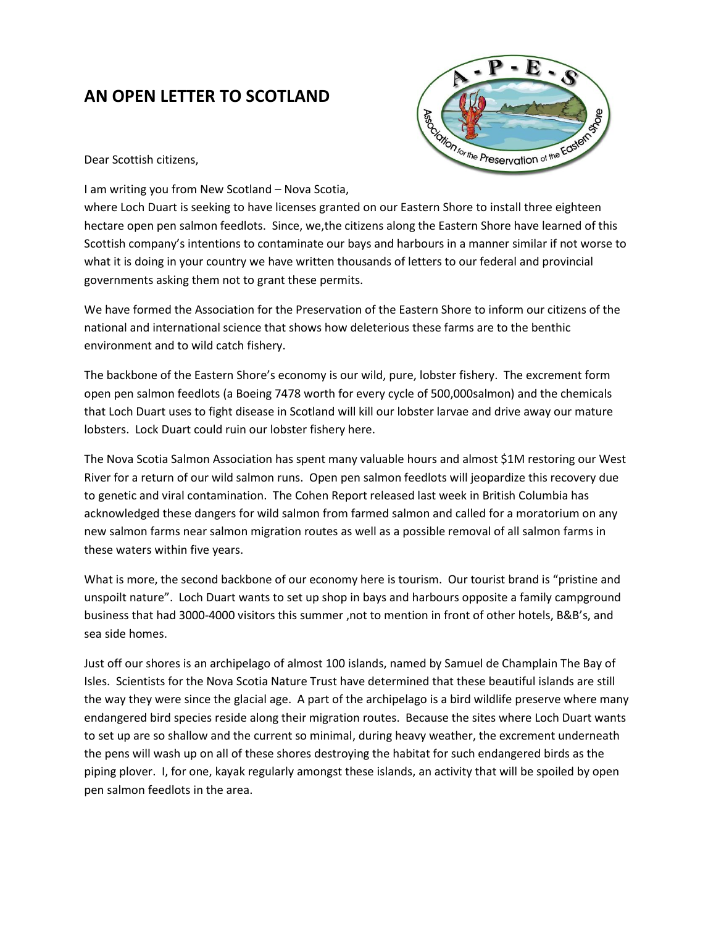## **AN OPEN LETTER TO SCOTLAND**



Dear Scottish citizens,

I am writing you from New Scotland – Nova Scotia,

where Loch Duart is seeking to have licenses granted on our Eastern Shore to install three eighteen hectare open pen salmon feedlots. Since, we,the citizens along the Eastern Shore have learned of this Scottish company's intentions to contaminate our bays and harbours in a manner similar if not worse to what it is doing in your country we have written thousands of letters to our federal and provincial governments asking them not to grant these permits.

We have formed the Association for the Preservation of the Eastern Shore to inform our citizens of the national and international science that shows how deleterious these farms are to the benthic environment and to wild catch fishery.

The backbone of the Eastern Shore's economy is our wild, pure, lobster fishery. The excrement form open pen salmon feedlots (a Boeing 7478 worth for every cycle of 500,000salmon) and the chemicals that Loch Duart uses to fight disease in Scotland will kill our lobster larvae and drive away our mature lobsters. Lock Duart could ruin our lobster fishery here.

The Nova Scotia Salmon Association has spent many valuable hours and almost \$1M restoring our West River for a return of our wild salmon runs. Open pen salmon feedlots will jeopardize this recovery due to genetic and viral contamination. The Cohen Report released last week in British Columbia has acknowledged these dangers for wild salmon from farmed salmon and called for a moratorium on any new salmon farms near salmon migration routes as well as a possible removal of all salmon farms in these waters within five years.

What is more, the second backbone of our economy here is tourism. Our tourist brand is "pristine and unspoilt nature". Loch Duart wants to set up shop in bays and harbours opposite a family campground business that had 3000-4000 visitors this summer ,not to mention in front of other hotels, B&B's, and sea side homes.

Just off our shores is an archipelago of almost 100 islands, named by Samuel de Champlain The Bay of Isles. Scientists for the Nova Scotia Nature Trust have determined that these beautiful islands are still the way they were since the glacial age. A part of the archipelago is a bird wildlife preserve where many endangered bird species reside along their migration routes. Because the sites where Loch Duart wants to set up are so shallow and the current so minimal, during heavy weather, the excrement underneath the pens will wash up on all of these shores destroying the habitat for such endangered birds as the piping plover. I, for one, kayak regularly amongst these islands, an activity that will be spoiled by open pen salmon feedlots in the area.